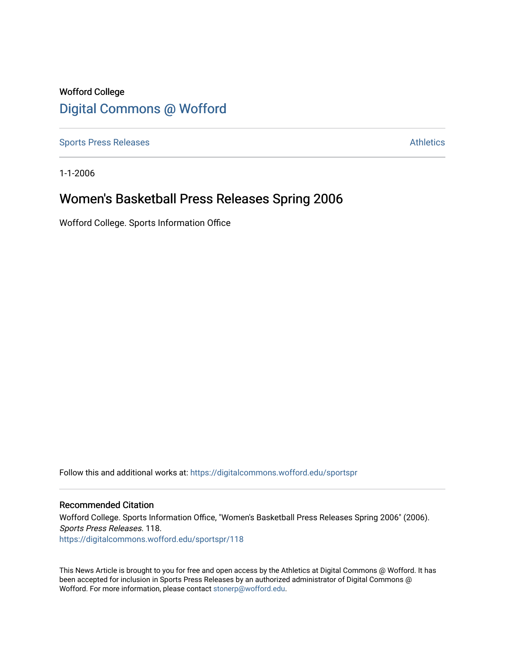# Wofford College [Digital Commons @ Wofford](https://digitalcommons.wofford.edu/)

[Sports Press Releases](https://digitalcommons.wofford.edu/sportspr) **Athletics** [Athletics](https://digitalcommons.wofford.edu/athletics) **Athletics** 

1-1-2006

# Women's Basketball Press Releases Spring 2006

Wofford College. Sports Information Office

Follow this and additional works at: [https://digitalcommons.wofford.edu/sportspr](https://digitalcommons.wofford.edu/sportspr?utm_source=digitalcommons.wofford.edu%2Fsportspr%2F118&utm_medium=PDF&utm_campaign=PDFCoverPages)

# Recommended Citation

Wofford College. Sports Information Office, "Women's Basketball Press Releases Spring 2006" (2006). Sports Press Releases. 118. [https://digitalcommons.wofford.edu/sportspr/118](https://digitalcommons.wofford.edu/sportspr/118?utm_source=digitalcommons.wofford.edu%2Fsportspr%2F118&utm_medium=PDF&utm_campaign=PDFCoverPages) 

This News Article is brought to you for free and open access by the Athletics at Digital Commons @ Wofford. It has been accepted for inclusion in Sports Press Releases by an authorized administrator of Digital Commons @ Wofford. For more information, please contact [stonerp@wofford.edu.](mailto:stonerp@wofford.edu)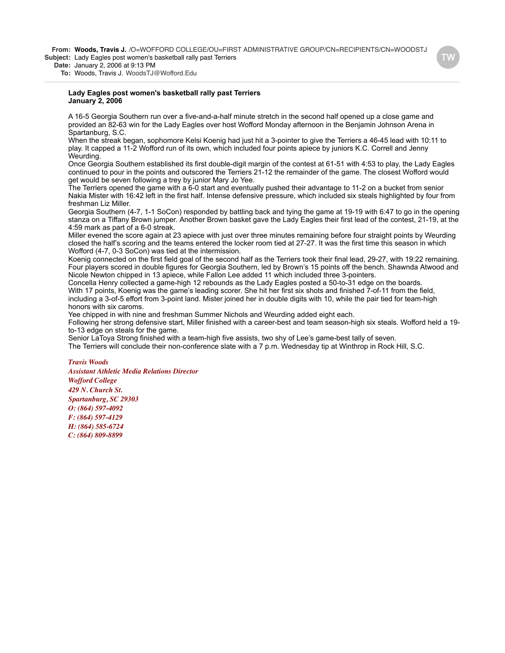**From: Woods, Travis J.** /O=WOFFORD COLLEGE/OU=FIRST ADMINISTRATIVE GROUP/CN=RECIPIENTS/CN=WOODSTJ **Subject:** Lady Eagles post women's basketball rally past Terriers

**Date:** January 2, 2006 at 9:13 PM

**To:** Woods, Travis J. WoodsTJ@Wofford.Edu

#### **Lady Eagles post women's basketball rally past Terriers January 2, 2006**

A 16-5 Georgia Southern run over a five-and-a-half minute stretch in the second half opened up a close game and provided an 82-63 win for the Lady Eagles over host Wofford Monday afternoon in the Benjamin Johnson Arena in Spartanburg, S.C.

When the streak began, sophomore Kelsi Koenig had just hit a 3-pointer to give the Terriers a 46-45 lead with 10:11 to play. It capped a 11-2 Wofford run of its own, which included four points apiece by juniors K.C. Correll and Jenny Weurding.

Once Georgia Southern established its first double-digit margin of the contest at 61-51 with 4:53 to play, the Lady Eagles continued to pour in the points and outscored the Terriers 21-12 the remainder of the game. The closest Wofford would get would be seven following a trey by junior Mary Jo Yee.

The Terriers opened the game with a 6-0 start and eventually pushed their advantage to 11-2 on a bucket from senior Nakia Mister with 16:42 left in the first half. Intense defensive pressure, which included six steals highlighted by four from freshman Liz Miller.

Georgia Southern (4-7, 1-1 SoCon) responded by battling back and tying the game at 19-19 with 6:47 to go in the opening stanza on a Tiffany Brown jumper. Another Brown basket gave the Lady Eagles their first lead of the contest, 21-19, at the 4:59 mark as part of a 6-0 streak.

Miller evened the score again at 23 apiece with just over three minutes remaining before four straight points by Weurding closed the half's scoring and the teams entered the locker room tied at 27-27. It was the first time this season in which Wofford (4-7, 0-3 SoCon) was tied at the intermission.

Koenig connected on the first field goal of the second half as the Terriers took their final lead, 29-27, with 19:22 remaining. Four players scored in double figures for Georgia Southern, led by Brown's 15 points off the bench. Shawnda Atwood and Nicole Newton chipped in 13 apiece, while Fallon Lee added 11 which included three 3-pointers.

Concella Henry collected a game-high 12 rebounds as the Lady Eagles posted a 50-to-31 edge on the boards. With 17 points, Koenig was the game's leading scorer. She hit her first six shots and finished 7-of-11 from the field, including a 3-of-5 effort from 3-point land. Mister joined her in double digits with 10, while the pair tied for team-high honors with six caroms.

Yee chipped in with nine and freshman Summer Nichols and Weurding added eight each.

Following her strong defensive start, Miller finished with a career-best and team season-high six steals. Wofford held a 19 to-13 edge on steals for the game.

Senior LaToya Strong finished with a team-high five assists, two shy of Lee's game-best tally of seven.

The Terriers will conclude their non-conference slate with a 7 p.m. Wednesday tip at Winthrop in Rock Hill, S.C.

#### *Travis Woods*

*Assistant Athletic Media Relations Director Wofford College 429 N. Church St. Spartanburg, SC 29303 O: (864) 597-4092 F: (864) 597-4129 H: (864) 585-6724 C: (864) 809-8899*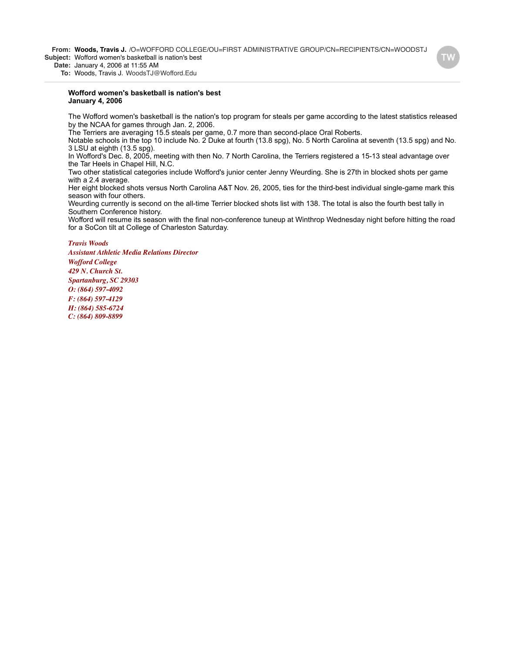**From: Woods, Travis J.** /O=WOFFORD COLLEGE/OU=FIRST ADMINISTRATIVE GROUP/CN=RECIPIENTS/CN=WOODSTJ **Subject:** Wofford women's basketball is nation's best

**Date:** January 4, 2006 at 11:55 AM

**To:** Woods, Travis J. WoodsTJ@Wofford.Edu

#### **Wofford women's basketball is nation's best January 4, 2006**

The Wofford women's basketball is the nation's top program for steals per game according to the latest statistics released by the NCAA for games through Jan. 2, 2006.

The Terriers are averaging 15.5 steals per game, 0.7 more than second-place Oral Roberts.

Notable schools in the top 10 include No. 2 Duke at fourth (13.8 spg), No. 5 North Carolina at seventh (13.5 spg) and No. 3 LSU at eighth (13.5 spg).

In Wofford's Dec. 8, 2005, meeting with then No. 7 North Carolina, the Terriers registered a 15-13 steal advantage over the Tar Heels in Chapel Hill, N.C.

Two other statistical categories include Wofford's junior center Jenny Weurding. She is 27th in blocked shots per game with a 2.4 average.

Her eight blocked shots versus North Carolina A&T Nov. 26, 2005, ties for the third-best individual single-game mark this season with four others.

Weurding currently is second on the all-time Terrier blocked shots list with 138. The total is also the fourth best tally in Southern Conference history.

Wofford will resume its season with the final non-conference tuneup at Winthrop Wednesday night before hitting the road for a SoCon tilt at College of Charleston Saturday.

### *Travis Woods*

*Assistant Athletic Media Relations Director Wofford College 429 N. Church St. Spartanburg, SC 29303 O: (864) 597-4092 F: (864) 597-4129 H: (864) 585-6724 C: (864) 809-8899*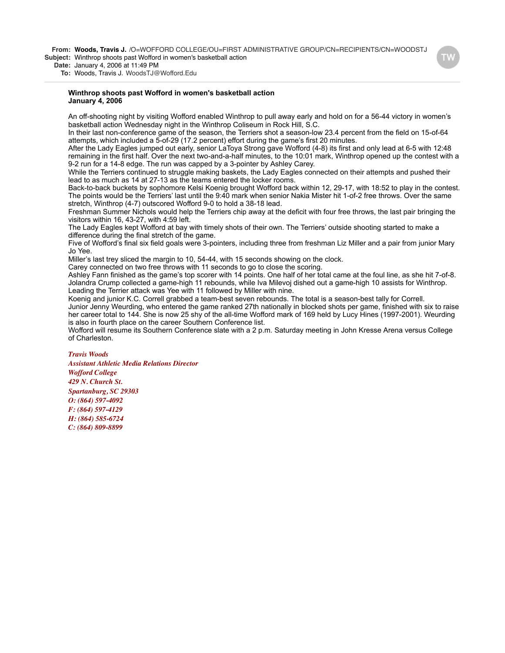**From: Woods, Travis J.** /O=WOFFORD COLLEGE/OU=FIRST ADMINISTRATIVE GROUP/CN=RECIPIENTS/CN=WOODSTJ **Subject:** Winthrop shoots past Wofford in women's basketball action

**Date:** January 4, 2006 at 11:49 PM

**To:** Woods, Travis J. WoodsTJ@Wofford.Edu

#### **Winthrop shoots past Wofford in women's basketball action January 4, 2006**

An off-shooting night by visiting Wofford enabled Winthrop to pull away early and hold on for a 56-44 victory in women's basketball action Wednesday night in the Winthrop Coliseum in Rock Hill, S.C.

In their last non-conference game of the season, the Terriers shot a season-low 23.4 percent from the field on 15-of-64 attempts, which included a 5-of-29 (17.2 percent) effort during the game's first 20 minutes.

After the Lady Eagles jumped out early, senior LaToya Strong gave Wofford (4-8) its first and only lead at 6-5 with 12:48 remaining in the first half. Over the next two-and-a-half minutes, to the 10:01 mark, Winthrop opened up the contest with a 9-2 run for a 14-8 edge. The run was capped by a 3-pointer by Ashley Carey.

While the Terriers continued to struggle making baskets, the Lady Eagles connected on their attempts and pushed their lead to as much as 14 at 27-13 as the teams entered the locker rooms.

Back-to-back buckets by sophomore Kelsi Koenig brought Wofford back within 12, 29-17, with 18:52 to play in the contest. The points would be the Terriers' last until the 9:40 mark when senior Nakia Mister hit 1-of-2 free throws. Over the same stretch, Winthrop (4-7) outscored Wofford 9-0 to hold a 38-18 lead.

Freshman Summer Nichols would help the Terriers chip away at the deficit with four free throws, the last pair bringing the visitors within 16, 43-27, with 4:59 left.

The Lady Eagles kept Wofford at bay with timely shots of their own. The Terriers' outside shooting started to make a difference during the final stretch of the game.

Five of Wofford's final six field goals were 3-pointers, including three from freshman Liz Miller and a pair from junior Mary Jo Yee.

Miller's last trey sliced the margin to 10, 54-44, with 15 seconds showing on the clock.

Carey connected on two free throws with 11 seconds to go to close the scoring.

Ashley Fann finished as the game's top scorer with 14 points. One half of her total came at the foul line, as she hit 7-of-8. Jolandra Crump collected a game-high 11 rebounds, while Iva Milevoj dished out a game-high 10 assists for Winthrop. Leading the Terrier attack was Yee with 11 followed by Miller with nine.

Koenig and junior K.C. Correll grabbed a team-best seven rebounds. The total is a season-best tally for Correll. Junior Jenny Weurding, who entered the game ranked 27th nationally in blocked shots per game, finished with six to raise her career total to 144. She is now 25 shy of the all-time Wofford mark of 169 held by Lucy Hines (1997-2001). Weurding is also in fourth place on the career Southern Conference list.

Wofford will resume its Southern Conference slate with a 2 p.m. Saturday meeting in John Kresse Arena versus College of Charleston.

#### *Travis Woods*

*Assistant Athletic Media Relations Director*

*Wofford College 429 N. Church St. Spartanburg, SC 29303 O: (864) 597-4092 F: (864) 597-4129 H: (864) 585-6724 C: (864) 809-8899*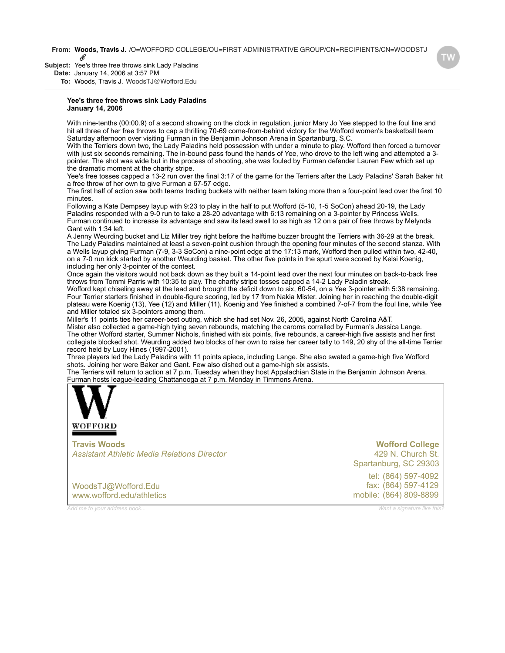**From: Woods, Travis J.** /O=WOFFORD COLLEGE/OU=FIRST ADMINISTRATIVE GROUP/CN=RECIPIENTS/CN=WOODSTJ

**Subject:** Yee's three free throws sink Lady Paladins

**Date:** January 14, 2006 at 3:57 PM

**To:** Woods, Travis J. WoodsTJ@Wofford.Edu

#### **Yee's three free throws sink Lady Paladins January 14, 2006**

With nine-tenths (00:00.9) of a second showing on the clock in regulation, junior Mary Jo Yee stepped to the foul line and hit all three of her free throws to cap a thrilling 70-69 come-from-behind victory for the Wofford women's basketball team Saturday afternoon over visiting Furman in the Benjamin Johnson Arena in Spartanburg, S.C.

With the Terriers down two, the Lady Paladins held possession with under a minute to play. Wofford then forced a turnover with just six seconds remaining. The in-bound pass found the hands of Yee, who drove to the left wing and attempted a 3 pointer. The shot was wide but in the process of shooting, she was fouled by Furman defender Lauren Few which set up the dramatic moment at the charity stripe.

Yee's free tosses capped a 13-2 run over the final 3:17 of the game for the Terriers after the Lady Paladins' Sarah Baker hit a free throw of her own to give Furman a 67-57 edge.

The first half of action saw both teams trading buckets with neither team taking more than a four-point lead over the first 10 minutes.

Following a Kate Dempsey layup with 9:23 to play in the half to put Wofford (5-10, 1-5 SoCon) ahead 20-19, the Lady Paladins responded with a 9-0 run to take a 28-20 advantage with 6:13 remaining on a 3-pointer by Princess Wells. Furman continued to increase its advantage and saw its lead swell to as high as 12 on a pair of free throws by Melynda Gant with 1:34 left.

A Jenny Weurding bucket and Liz Miller trey right before the halftime buzzer brought the Terriers with 36-29 at the break. The Lady Paladins maintained at least a seven-point cushion through the opening four minutes of the second stanza. With a Wells layup giving Furman (7-9, 3-3 SoCon) a nine-point edge at the 17:13 mark, Wofford then pulled within two, 42-40, on a 7-0 run kick started by another Weurding basket. The other five points in the spurt were scored by Kelsi Koenig, including her only 3-pointer of the contest.

Once again the visitors would not back down as they built a 14-point lead over the next four minutes on back-to-back free throws from Tommi Parris with 10:35 to play. The charity stripe tosses capped a 14-2 Lady Paladin streak.

Wofford kept chiseling away at the lead and brought the deficit down to six, 60-54, on a Yee 3-pointer with 5:38 remaining. Four Terrier starters finished in double-figure scoring, led by 17 from Nakia Mister. Joining her in reaching the double-digit plateau were Koenig (13), Yee (12) and Miller (11). Koenig and Yee finished a combined 7-of-7 from the foul line, while Yee and Miller totaled six 3-pointers among them.

Miller's 11 points ties her career-best outing, which she had set Nov. 26, 2005, against North Carolina A&T.

Mister also collected a game-high tying seven rebounds, matching the caroms corralled by Furman's Jessica Lange. The other Wofford starter, Summer Nichols, finished with six points, five rebounds, a career-high five assists and her first collegiate blocked shot. Weurding added two blocks of her own to raise her career tally to 149, 20 shy of the all-time Terrier record held by Lucy Hines (1997-2001).

Three players led the Lady Paladins with 11 points apiece, including Lange. She also swated a game-high five Wofford shots. Joining her were Baker and Gant. Few also dished out a game-high six assists.

The Terriers will return to action at 7 p.m. Tuesday when they host Appalachian State in the Benjamin Johnson Arena. F[urman hosts lea](http://www.wofford.edu/athletics)gue-leading Chattanooga at 7 p.m. Monday in Timmons Arena.



**Travis Woods** *Assistant Athletic Media Relations Director*

tel: (864) 597-4092 fax: (864) 597-4129 mobile: (864) 809-8899 **Wofford College** 429 N. Church St. [Spartanburg, SC 29303](http://maps.yahoo.com/py/maps.py?Pyt=Tmap&addr=429+N.+Church+St.&csz=Spartanburg,+SC++29303&country=us)

[WoodsTJ@Wofford.Edu](mailto:WoodsTJ@Wofford.Edu) [www.wofford.edu/athletics](http://www.wofford.edu/athletics)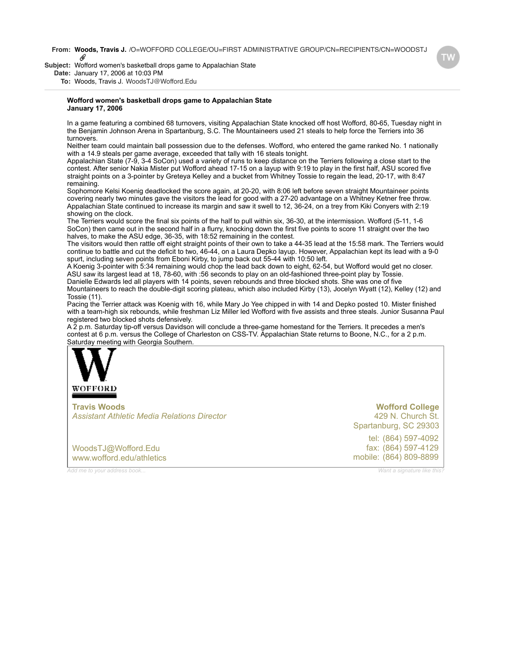**From: Woods, Travis J.** /O=WOFFORD COLLEGE/OU=FIRST ADMINISTRATIVE GROUP/CN=RECIPIENTS/CN=WOODSTJ O

**Subject:** Wofford women's basketball drops game to Appalachian State

**Date:** January 17, 2006 at 10:03 PM

**To:** Woods, Travis J. WoodsTJ@Wofford.Edu

#### **Wofford women's basketball drops game to Appalachian State January 17, 2006**

In a game featuring a combined 68 turnovers, visiting Appalachian State knocked off host Wofford, 80-65, Tuesday night in the Benjamin Johnson Arena in Spartanburg, S.C. The Mountaineers used 21 steals to help force the Terriers into 36 turnovers.

Neither team could maintain ball possession due to the defenses. Wofford, who entered the game ranked No. 1 nationally with a 14.9 steals per game average, exceeded that tally with 16 steals tonight.

Appalachian State (7-9, 3-4 SoCon) used a variety of runs to keep distance on the Terriers following a close start to the contest. After senior Nakia Mister put Wofford ahead 17-15 on a layup with 9:19 to play in the first half, ASU scored five straight points on a 3-pointer by Greteya Kelley and a bucket from Whitney Tossie to regain the lead, 20-17, with 8:47 remaining.

Sophomore Kelsi Koenig deadlocked the score again, at 20-20, with 8:06 left before seven straight Mountaineer points covering nearly two minutes gave the visitors the lead for good with a 27-20 advantage on a Whitney Ketner free throw. Appalachian State continued to increase its margin and saw it swell to 12, 36-24, on a trey from Kiki Conyers with 2:19 showing on the clock.

The Terriers would score the final six points of the half to pull within six, 36-30, at the intermission. Wofford (5-11, 1-6 SoCon) then came out in the second half in a flurry, knocking down the first five points to score 11 straight over the two halves, to make the ASU edge, 36-35, with 18:52 remaining in the contest.

The visitors would then rattle off eight straight points of their own to take a 44-35 lead at the 15:58 mark. The Terriers would continue to battle and cut the deficit to two, 46-44, on a Laura Depko layup. However, Appalachian kept its lead with a 9-0 spurt, including seven points from Eboni Kirby, to jump back out 55-44 with 10:50 left.

A Koenig 3-pointer with 5:34 remaining would chop the lead back down to eight, 62-54, but Wofford would get no closer. ASU saw its largest lead at 18, 78-60, with :56 seconds to play on an old-fashioned three-point play by Tossie. Danielle Edwards led all players with 14 points, seven rebounds and three blocked shots. She was one of five Mountaineers to reach the double-digit scoring plateau, which also included Kirby (13), Jocelyn Wyatt (12), Kelley (12) and

Tossie (11).

Pacing the Terrier attack was Koenig with 16, while Mary Jo Yee chipped in with 14 and Depko posted 10. Mister finished with a team-high six rebounds, while freshman Liz Miller led Wofford with five assists and three steals. Junior Susanna Paul registered two blocked shots defensively.

A 2 p.m. Saturday tip-off versus Davidson will conclude a three-game homestand for the Terriers. It precedes a men's contest at 6 p.m. versus the College of Charleston on CSS-TV. Appalachian State returns to Boone, N.C., for a 2 p.m. [Saturday meetin](http://www.wofford.edu/athletics)g with Georgia Southern.



**Travis Woods** *Assistant Athletic Media Relations Director*

[WoodsTJ@Wofford.Edu](mailto:WoodsTJ@Wofford.Edu) [www.wofford.edu/athletics](http://www.wofford.edu/athletics)

tel: (864) 597-4092 fax: (864) 597-4129 mobile: (864) 809-8899 **Wofford College** 429 N. Church St. [Spartanburg, SC 29303](http://maps.yahoo.com/py/maps.py?Pyt=Tmap&addr=429+N.+Church+St.&csz=Spartanburg,+SC++29303&country=us)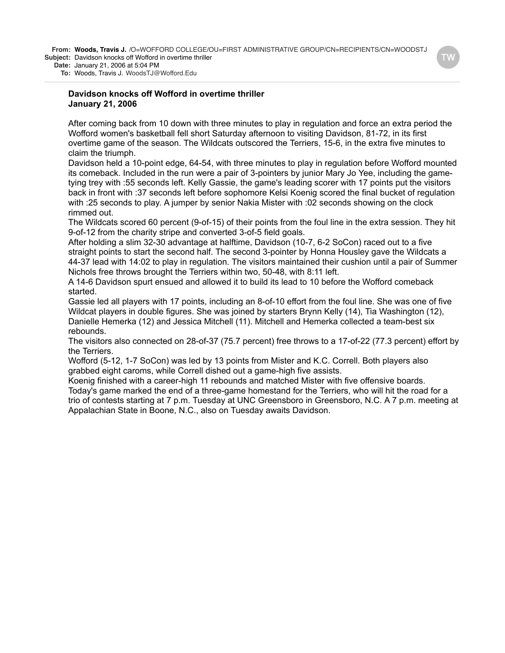**From: Woods, Travis J.** /O=WOFFORD COLLEGE/OU=FIRST ADMINISTRATIVE GROUP/CN=RECIPIENTS/CN=WOODSTJ **Subject:** Davidson knocks off Wofford in overtime thriller

**Date:** January 21, 2006 at 5:04 PM

**To:** Woods, Travis J. WoodsTJ@Wofford.Edu

### **Davidson knocks off Wofford in overtime thriller January 21, 2006**

After coming back from 10 down with three minutes to play in regulation and force an extra period the Wofford women's basketball fell short Saturday afternoon to visiting Davidson, 81-72, in its first overtime game of the season. The Wildcats outscored the Terriers, 15-6, in the extra five minutes to claim the triumph.

Davidson held a 10-point edge, 64-54, with three minutes to play in regulation before Wofford mounted its comeback. Included in the run were a pair of 3-pointers by junior Mary Jo Yee, including the gametying trey with :55 seconds left. Kelly Gassie, the game's leading scorer with 17 points put the visitors back in front with :37 seconds left before sophomore Kelsi Koenig scored the final bucket of regulation with :25 seconds to play. A jumper by senior Nakia Mister with :02 seconds showing on the clock rimmed out.

The Wildcats scored 60 percent (9-of-15) of their points from the foul line in the extra session. They hit 9-of-12 from the charity stripe and converted 3-of-5 field goals.

After holding a slim 32-30 advantage at halftime, Davidson (10-7, 6-2 SoCon) raced out to a five straight points to start the second half. The second 3-pointer by Honna Housley gave the Wildcats a 44-37 lead with 14:02 to play in regulation. The visitors maintained their cushion until a pair of Summer Nichols free throws brought the Terriers within two, 50-48, with 8:11 left.

A 14-6 Davidson spurt ensued and allowed it to build its lead to 10 before the Wofford comeback started.

Gassie led all players with 17 points, including an 8-of-10 effort from the foul line. She was one of five Wildcat players in double figures. She was joined by starters Brynn Kelly (14), Tia Washington (12), Danielle Hemerka (12) and Jessica Mitchell (11). Mitchell and Hemerka collected a team-best six rebounds.

The visitors also connected on 28-of-37 (75.7 percent) free throws to a 17-of-22 (77.3 percent) effort by the Terriers.

Wofford (5-12, 1-7 SoCon) was led by 13 points from Mister and K.C. Correll. Both players also grabbed eight caroms, while Correll dished out a game-high five assists.

Koenig finished with a career-high 11 rebounds and matched Mister with five offensive boards. Today's game marked the end of a three-game homestand for the Terriers, who will hit the road for a trio of contests starting at 7 p.m. Tuesday at UNC Greensboro in Greensboro, N.C. A 7 p.m. meeting at Appalachian State in Boone, N.C., also on Tuesday awaits Davidson.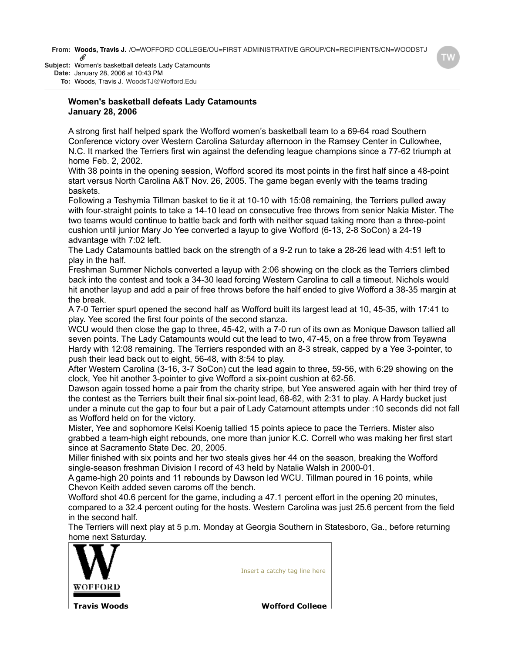**From: Woods, Travis J.** /O=WOFFORD COLLEGE/OU=FIRST ADMINISTRATIVE GROUP/CN=RECIPIENTS/CN=WOODSTJ<br> *@* 

**Subject:** Women's basketball defeats Lady Catamounts **Date:** January 28, 2006 at 10:43 PM

**To:** Woods, Travis J. WoodsTJ@Wofford.Edu

## **Women's basketball defeats Lady Catamounts January 28, 2006**

A strong first half helped spark the Wofford women's basketball team to a 69-64 road Southern Conference victory over Western Carolina Saturday afternoon in the Ramsey Center in Cullowhee, N.C. It marked the Terriers first win against the defending league champions since a 77-62 triumph at home Feb. 2, 2002.

With 38 points in the opening session, Wofford scored its most points in the first half since a 48-point start versus North Carolina A&T Nov. 26, 2005. The game began evenly with the teams trading baskets.

Following a Teshymia Tillman basket to tie it at 10-10 with 15:08 remaining, the Terriers pulled away with four-straight points to take a 14-10 lead on consecutive free throws from senior Nakia Mister. The two teams would continue to battle back and forth with neither squad taking more than a three-point cushion until junior Mary Jo Yee converted a layup to give Wofford (6-13, 2-8 SoCon) a 24-19 advantage with 7:02 left.

The Lady Catamounts battled back on the strength of a 9-2 run to take a 28-26 lead with 4:51 left to play in the half.

Freshman Summer Nichols converted a layup with 2:06 showing on the clock as the Terriers climbed back into the contest and took a 34-30 lead forcing Western Carolina to call a timeout. Nichols would hit another layup and add a pair of free throws before the half ended to give Wofford a 38-35 margin at the break.

A 7-0 Terrier spurt opened the second half as Wofford built its largest lead at 10, 45-35, with 17:41 to play. Yee scored the first four points of the second stanza.

WCU would then close the gap to three, 45-42, with a 7-0 run of its own as Monique Dawson tallied all seven points. The Lady Catamounts would cut the lead to two, 47-45, on a free throw from Teyawna Hardy with 12:08 remaining. The Terriers responded with an 8-3 streak, capped by a Yee 3-pointer, to push their lead back out to eight, 56-48, with 8:54 to play.

After Western Carolina (3-16, 3-7 SoCon) cut the lead again to three, 59-56, with 6:29 showing on the clock, Yee hit another 3-pointer to give Wofford a six-point cushion at 62-56.

Dawson again tossed home a pair from the charity stripe, but Yee answered again with her third trey of the contest as the Terriers built their final six-point lead, 68-62, with 2:31 to play. A Hardy bucket just under a minute cut the gap to four but a pair of Lady Catamount attempts under :10 seconds did not fall as Wofford held on for the victory.

Mister, Yee and sophomore Kelsi Koenig tallied 15 points apiece to pace the Terriers. Mister also grabbed a team-high eight rebounds, one more than junior K.C. Correll who was making her first start since at Sacramento State Dec. 20, 2005.

Miller finished with six points and her two steals gives her 44 on the season, breaking the Wofford single-season freshman Division I record of 43 held by Natalie Walsh in 2000-01.

A game-high 20 points and 11 rebounds by Dawson led WCU. Tillman poured in 16 points, while Chevon Keith added seven caroms off the bench.

Wofford shot 40.6 percent for the game, including a 47.1 percent effort in the opening 20 minutes, compared to a 32.4 percent outing for the hosts. Western Carolina was just 25.6 percent from the field in the second half.

The Terriers will next play at 5 p.m. Monday at Georgia Southern in Statesboro, Ga., before returning [home next Sa](http://www.wofford.edu/athletics)turday.



Insert a catchy tag line here

**Travis Woods Wofford College**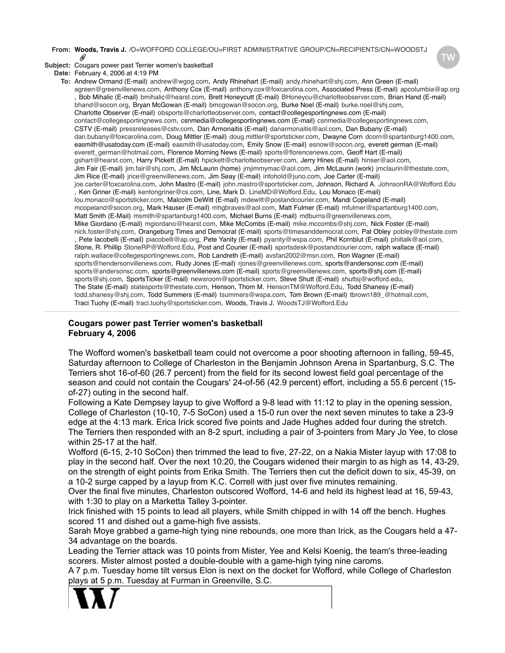#### **From: Woods, Travis J.** /O=WOFFORD COLLEGE/OU=FIRST ADMINISTRATIVE GROUP/CN=RECIPIENTS/CN=WOODSTJ D,

**Subject:** Cougars power past Terrier women's basketball

**Date:** February 4, 2006 at 4:19 PM

**To:** Andrew Ormand (E-mail) andrew@wgog.com, Andy Rhinehart (E-mail) andy.rhinehart@shj.com, Ann Green (E-mail) agreen@greenvillenews.com, Anthony Cox (E-mail) anthony.cox@foxcarolina.com, Associated Press (E-mail) apcolumbia@ap.org , Bob Mihalic (E-mail) bmihalic@hearst.com, Brett Honeycutt (E-mail) BHoneycu@charlotteobserver.com, Brian Hand (E-mail) bhand@socon.org, Bryan McGowan (E-mail) bmcgowan@socon.org, Burke Noel (E-mail) burke.noel@shj.com, Charlotte Observer (E-mail) obsports@charlotteobserver.com, contact@collegesportingnews.com (E-mail) contact@collegesportingnews.com, csnmedia@collegesportingnews.com (E-mail) csnmedia@collegesportingnews.com, CSTV (E-mail) pressreleases@cstv.com, Dan Armonaitis (E-mail) danarmonaitis@aol.com, Dan Bubany (E-mail) dan.bubany@foxcarolina.com, Doug Mittler (E-mail) doug.mittler@sportsticker.com, Dwayne Corn dcorn@spartanburg1400.com, easmith@usatoday.com (E-mail) easmith@usatoday.com, Emily Snow (E-mail) esnow@socon.org, everett german (E-mail) everett\_german@hotmail.com, Florence Morning News (E-mail) sports@florencenews.com, Geoff Hart (E-mail) gshart@hearst.com, Harry Pickett (E-mail) hpickett@charlotteobserver.com, Jerry Hines (E-mail) hinser@aol.com, Jim Fair (E-mail) jim.fair@shj.com, Jim McLaurin (home) jmjimmymac@aol.com, Jim McLaurin (work) jmclaurin@thestate.com, Jim Rice (E-mail) jrice@greenvillenews.com, Jim Seay (E-mail) infohold@juno.com, Joe Carter (E-mail) joe.carter@foxcarolina.com, John Mastro (E-mail) john.mastro@sportsticker.com, Johnson, Richard A. JohnsonRA@Wofford.Edu , Ken Griner (E-mail) kentongriner@cs.com, Line, Mark D. LineMD@Wofford.Edu, Lou Monaco (E-mail) lou.monaco@sportsticker.com, Malcolm DeWitt (E-mail) mdewitt@postandcourier.com, Mandi Copeland (E-mail) mcopeland@socon.org, Mark Hauser (E-mail) mhgbraves@aol.com, Matt Fulmer (E-mail) mfulmer@spartanburg1400.com, Matt Smith (E-Mail) msmith@spartanburg1400.com, Michael Burns (E-mail) mdburns@greenvillenews.com, Mike Giordano (E-mail) mgiordano@hearst.com, Mike McCombs (E-mail) mike.mccombs@shj.com, Nick Foster (E-mail) nick.foster@shj.com, Orangeburg Times and Democrat (E-mail) sports@timesanddemocrat.com, Pat Obley pobley@thestate.com , Pete Iacobelli (E-mail) piacobelli@ap.org, Pete Yanity (E-mail) pyanity@wspa.com, Phil Kornblut (E-mail) philtalk@aol.com, Stone, R. Phillip StoneRP@Wofford.Edu, Post and Courier (E-mail) sportsdesk@postandcourier.com, ralph wallace (E-mail) ralph.wallace@collegesportingnews.com, Rob Landreth (E-mail) avsfan2002@msn.com, Ron Wagner (E-mail) sports@hendersonvillenews.com, Rudy Jones (E-mail) rjones@greenvillenews.com, sports@andersonsc.com (E-mail) sports@andersonsc.com, sports@greenvillenews.com (E-mail) sports@greenvillenews.com, sports@shj.com (E-mail) sports@shj.com, SportsTicker (E-mail) newsroom@sportsticker.com, Steve Shutt (E-mail) shuttsj@wofford.edu, The State (E-mail) statesports@thestate.com, Henson, Thom M. HensonTM@Wofford.Edu, Todd Shanesy (E-mail) todd.shanesy@shj.com, Todd Summers (E-mail) tsummers@wspa.com, Tom Brown (E-mail) tbrown189\_@hotmail.com, Traci Tuohy (E-mail) traci.tuohy@sportsticker.com, Woods, Travis J. WoodsTJ@Wofford.Edu

# **Cougars power past Terrier women's basketball February 4, 2006**

The Wofford women's basketball team could not overcome a poor shooting afternoon in falling, 59-45, Saturday afternoon to College of Charleston in the Benjamin Johnson Arena in Spartanburg, S.C. The Terriers shot 16-of-60 (26.7 percent) from the field for its second lowest field goal percentage of the season and could not contain the Cougars' 24-of-56 (42.9 percent) effort, including a 55.6 percent (15 of-27) outing in the second half.

Following a Kate Dempsey layup to give Wofford a 9-8 lead with 11:12 to play in the opening session, College of Charleston (10-10, 7-5 SoCon) used a 15-0 run over the next seven minutes to take a 23-9 edge at the 4:13 mark. Erica Irick scored five points and Jade Hughes added four during the stretch. The Terriers then responded with an 8-2 spurt, including a pair of 3-pointers from Mary Jo Yee, to close within 25-17 at the half.

Wofford (6-15, 2-10 SoCon) then trimmed the lead to five, 27-22, on a Nakia Mister layup with 17:08 to play in the second half. Over the next 10:20, the Cougars widened their margin to as high as 14, 43-29, on the strength of eight points from Erika Smith. The Terriers then cut the deficit down to six, 45-39, on a 10-2 surge capped by a layup from K.C. Correll with just over five minutes remaining.

Over the final five minutes, Charleston outscored Wofford, 14-6 and held its highest lead at 16, 59-43, with 1:30 to play on a Marketta Talley 3-pointer.

Irick finished with 15 points to lead all players, while Smith chipped in with 14 off the bench. Hughes scored 11 and dished out a game-high five assists.

Sarah Moye grabbed a game-high tying nine rebounds, one more than Irick, as the Cougars held a 47- 34 advantage on the boards.

Leading the Terrier attack was 10 points from Mister, Yee and Kelsi Koenig, the team's three-leading scorers. Mister almost posted a double-double with a game-high tying nine caroms.

A 7 p.m. Tuesday home tilt versus Elon is next on the docket for Wofford, while College of Charleston [plays at 5 p.m](http://www.wofford.edu/athletics). Tuesday at Furman in Greenville, S.C.

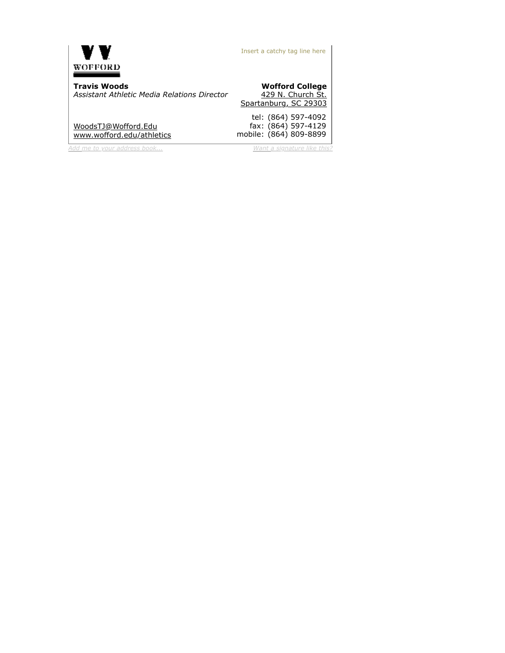

Insert a catchy tag line here

**Travis Woods** *Assistant Athletic Media Relations Director*

[WoodsTJ@Wofford.Edu](mailto:WoodsTJ@Wofford.Edu) [www.wofford.edu/athletics](http://www.wofford.edu/athletics)

*[Add me to your address book...](https://www.plaxo.com/add_me?u=587393&v0=1169197&k0=50622497) [Want a signature like this?](http://www.plaxo.com/signature)* 

#### **Wofford College** 429 N. Church St. [Spartanburg, SC 29303](http://maps.yahoo.com/py/maps.py?Pyt=Tmap&addr=429+N.+Church+St.&csz=Spartanburg,+SC++29303&country=us)

tel: fax: mobile: (864) 809-8899 (864) 597-4092 (864) 597-4129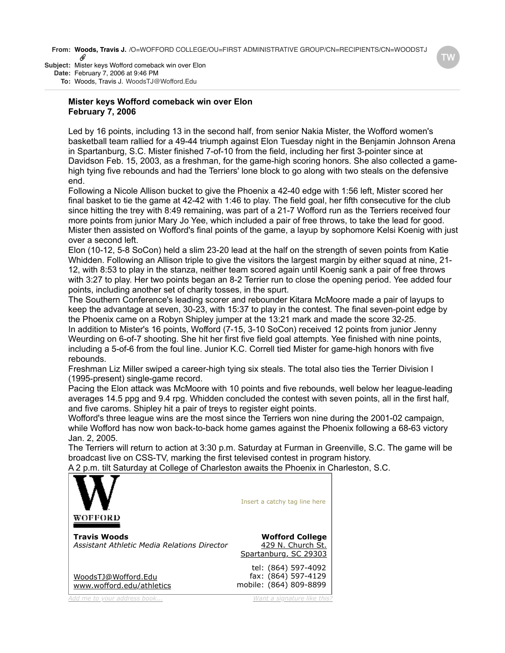**From: Woods, Travis J.** /O=WOFFORD COLLEGE/OU=FIRST ADMINISTRATIVE GROUP/CN=RECIPIENTS/CN=WOODSTJ D,

**Subject:** Mister keys Wofford comeback win over Elon **Date:** February 7, 2006 at 9:46 PM

**To:** Woods, Travis J. WoodsTJ@Wofford.Edu

# **Mister keys Wofford comeback win over Elon February 7, 2006**

Led by 16 points, including 13 in the second half, from senior Nakia Mister, the Wofford women's basketball team rallied for a 49-44 triumph against Elon Tuesday night in the Benjamin Johnson Arena in Spartanburg, S.C. Mister finished 7-of-10 from the field, including her first 3-pointer since at Davidson Feb. 15, 2003, as a freshman, for the game-high scoring honors. She also collected a gamehigh tying five rebounds and had the Terriers' lone block to go along with two steals on the defensive end.

Following a Nicole Allison bucket to give the Phoenix a 42-40 edge with 1:56 left, Mister scored her final basket to tie the game at 42-42 with 1:46 to play. The field goal, her fifth consecutive for the club since hitting the trey with 8:49 remaining, was part of a 21-7 Wofford run as the Terriers received four more points from junior Mary Jo Yee, which included a pair of free throws, to take the lead for good. Mister then assisted on Wofford's final points of the game, a layup by sophomore Kelsi Koenig with just over a second left.

Elon (10-12, 5-8 SoCon) held a slim 23-20 lead at the half on the strength of seven points from Katie Whidden. Following an Allison triple to give the visitors the largest margin by either squad at nine, 21- 12, with 8:53 to play in the stanza, neither team scored again until Koenig sank a pair of free throws with 3:27 to play. Her two points began an 8-2 Terrier run to close the opening period. Yee added four points, including another set of charity tosses, in the spurt.

The Southern Conference's leading scorer and rebounder Kitara McMoore made a pair of layups to keep the advantage at seven, 30-23, with 15:37 to play in the contest. The final seven-point edge by the Phoenix came on a Robyn Shipley jumper at the 13:21 mark and made the score 32-25.

In addition to Mister's 16 points, Wofford (7-15, 3-10 SoCon) received 12 points from junior Jenny Weurding on 6-of-7 shooting. She hit her first five field goal attempts. Yee finished with nine points, including a 5-of-6 from the foul line. Junior K.C. Correll tied Mister for game-high honors with five rebounds.

Freshman Liz Miller swiped a career-high tying six steals. The total also ties the Terrier Division I (1995-present) single-game record.

Pacing the Elon attack was McMoore with 10 points and five rebounds, well below her league-leading averages 14.5 ppg and 9.4 rpg. Whidden concluded the contest with seven points, all in the first half, and five caroms. Shipley hit a pair of treys to register eight points.

Wofford's three league wins are the most since the Terriers won nine during the 2001-02 campaign, while Wofford has now won back-to-back home games against the Phoenix following a 68-63 victory Jan. 2, 2005.

The Terriers will return to action at 3:30 p.m. Saturday at Furman in Greenville, S.C. The game will be broadcast live on CSS-TV, marking the first televised contest in program history.

[A 2 p.m. tilt Sa](http://www.wofford.edu/athletics)turday at College of Charleston awaits the Phoenix in Charleston, S.C.

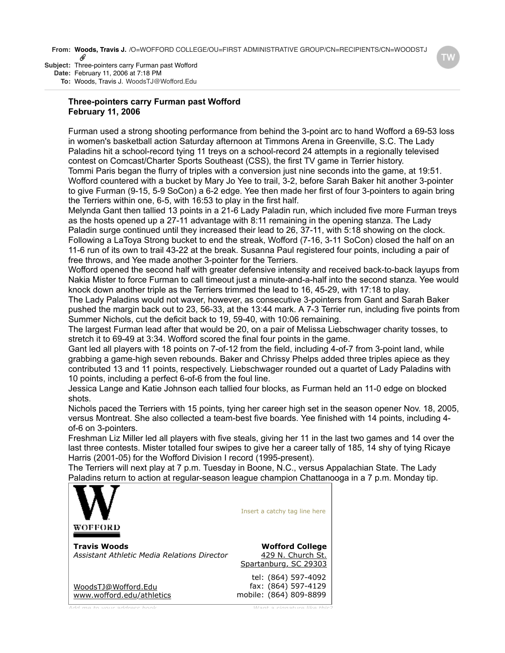**From: Woods, Travis J.** /O=WOFFORD COLLEGE/OU=FIRST ADMINISTRATIVE GROUP/CN=RECIPIENTS/CN=WOODSTJ

**Subject:** Three-pointers carry Furman past Wofford **Date:** February 11, 2006 at 7:18 PM **To:** Woods, Travis J. WoodsTJ@Wofford.Edu

# **Three-pointers carry Furman past Wofford February 11, 2006**

Furman used a strong shooting performance from behind the 3-point arc to hand Wofford a 69-53 loss in women's basketball action Saturday afternoon at Timmons Arena in Greenville, S.C. The Lady Paladins hit a school-record tying 11 treys on a school-record 24 attempts in a regionally televised contest on Comcast/Charter Sports Southeast (CSS), the first TV game in Terrier history. Tommi Paris began the flurry of triples with a conversion just nine seconds into the game, at 19:51. Wofford countered with a bucket by Mary Jo Yee to trail, 3-2, before Sarah Baker hit another 3-pointer to give Furman (9-15, 5-9 SoCon) a 6-2 edge. Yee then made her first of four 3-pointers to again bring the Terriers within one, 6-5, with 16:53 to play in the first half.

Melynda Gant then tallied 13 points in a 21-6 Lady Paladin run, which included five more Furman treys as the hosts opened up a 27-11 advantage with 8:11 remaining in the opening stanza. The Lady Paladin surge continued until they increased their lead to 26, 37-11, with 5:18 showing on the clock. Following a LaToya Strong bucket to end the streak, Wofford (7-16, 3-11 SoCon) closed the half on an 11-6 run of its own to trail 43-22 at the break. Susanna Paul registered four points, including a pair of free throws, and Yee made another 3-pointer for the Terriers.

Wofford opened the second half with greater defensive intensity and received back-to-back layups from Nakia Mister to force Furman to call timeout just a minute-and-a-half into the second stanza. Yee would knock down another triple as the Terriers trimmed the lead to 16, 45-29, with 17:18 to play.

The Lady Paladins would not waver, however, as consecutive 3-pointers from Gant and Sarah Baker pushed the margin back out to 23, 56-33, at the 13:44 mark. A 7-3 Terrier run, including five points from Summer Nichols, cut the deficit back to 19, 59-40, with 10:06 remaining.

The largest Furman lead after that would be 20, on a pair of Melissa Liebschwager charity tosses, to stretch it to 69-49 at 3:34. Wofford scored the final four points in the game.

Gant led all players with 18 points on 7-of-12 from the field, including 4-of-7 from 3-point land, while grabbing a game-high seven rebounds. Baker and Chrissy Phelps added three triples apiece as they contributed 13 and 11 points, respectively. Liebschwager rounded out a quartet of Lady Paladins with 10 points, including a perfect 6-of-6 from the foul line.

Jessica Lange and Katie Johnson each tallied four blocks, as Furman held an 11-0 edge on blocked shots.

Nichols paced the Terriers with 15 points, tying her career high set in the season opener Nov. 18, 2005, versus Montreat. She also collected a team-best five boards. Yee finished with 14 points, including 4 of-6 on 3-pointers.

Freshman Liz Miller led all players with five steals, giving her 11 in the last two games and 14 over the last three contests. Mister totalled four swipes to give her a career tally of 185, 14 shy of tying Ricaye Harris (2001-05) for the Wofford Division I record (1995-present).

The Terriers will next play at 7 p.m. Tuesday in Boone, N.C., versus Appalachian State. The Lady [Paladins retur](http://www.wofford.edu/athletics)n to action at regular-season league champion Chattanooga in a 7 p.m. Monday tip.

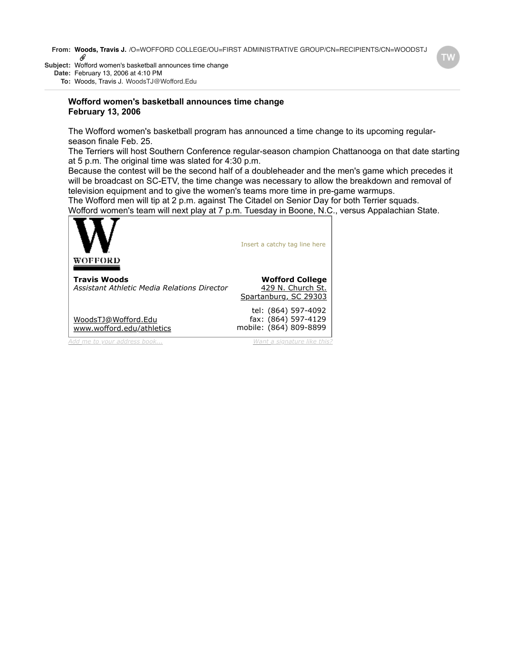**From: Woods, Travis J.** /O=WOFFORD COLLEGE/OU=FIRST ADMINISTRATIVE GROUP/CN=RECIPIENTS/CN=WOODSTJ<br> *W* 

**Subject:** Wofford women's basketball announces time change **Date:** February 13, 2006 at 4:10 PM

**To:** Woods, Travis J. WoodsTJ@Wofford.Edu

## **Wofford women's basketball announces time change February 13, 2006**

The Wofford women's basketball program has announced a time change to its upcoming regularseason finale Feb. 25.

The Terriers will host Southern Conference regular-season champion Chattanooga on that date starting at 5 p.m. The original time was slated for 4:30 p.m.

Because the contest will be the second half of a doubleheader and the men's game which precedes it will be broadcast on SC-ETV, the time change was necessary to allow the breakdown and removal of television equipment and to give the women's teams more time in pre-game warmups.

The Wofford men will tip at 2 p.m. against The Citadel on Senior Day for both Terrier squads.

[Wofford wome](http://www.wofford.edu/athletics)n's team will next play at 7 p.m. Tuesday in Boone, N.C., versus Appalachian State.

| WOFFORD                                                            | Insert a catchy tag line here                                        |
|--------------------------------------------------------------------|----------------------------------------------------------------------|
| <b>Travis Woods</b><br>Assistant Athletic Media Relations Director | <b>Wofford College</b><br>429 N. Church St.<br>Spartanburg, SC 29303 |
| WoodsTJ@Wofford.Edu<br>www.wofford.edu/athletics                   | tel: (864) 597-4092<br>fax: (864) 597-4129<br>mobile: (864) 809-8899 |
| Add me to vour address book                                        | Want a signature like this?                                          |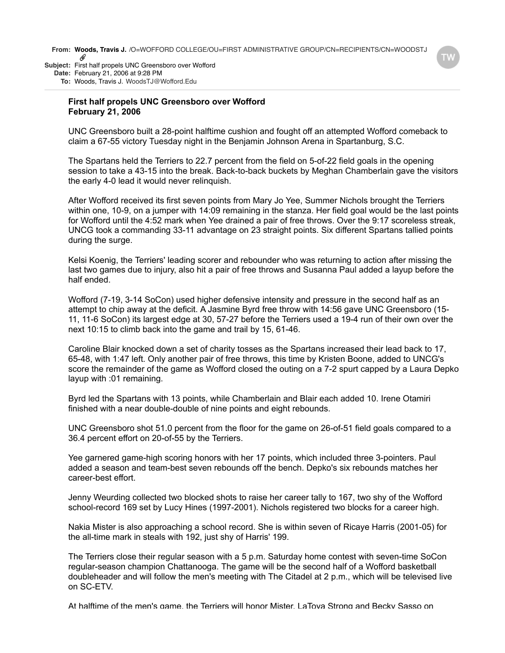**From: Woods, Travis J.** /O=WOFFORD COLLEGE/OU=FIRST ADMINISTRATIVE GROUP/CN=RECIPIENTS/CN=WOODSTJ O

**Subject:** First half propels UNC Greensboro over Wofford **Date:** February 21, 2006 at 9:28 PM **To:** Woods, Travis J. WoodsTJ@Wofford.Edu

### **First half propels UNC Greensboro over Wofford February 21, 2006**

UNC Greensboro built a 28-point halftime cushion and fought off an attempted Wofford comeback to claim a 67-55 victory Tuesday night in the Benjamin Johnson Arena in Spartanburg, S.C.

The Spartans held the Terriers to 22.7 percent from the field on 5-of-22 field goals in the opening session to take a 43-15 into the break. Back-to-back buckets by Meghan Chamberlain gave the visitors the early 4-0 lead it would never relinquish.

After Wofford received its first seven points from Mary Jo Yee, Summer Nichols brought the Terriers within one, 10-9, on a jumper with 14:09 remaining in the stanza. Her field goal would be the last points for Wofford until the 4:52 mark when Yee drained a pair of free throws. Over the 9:17 scoreless streak, UNCG took a commanding 33-11 advantage on 23 straight points. Six different Spartans tallied points during the surge.

Kelsi Koenig, the Terriers' leading scorer and rebounder who was returning to action after missing the last two games due to injury, also hit a pair of free throws and Susanna Paul added a layup before the half ended.

Wofford (7-19, 3-14 SoCon) used higher defensive intensity and pressure in the second half as an attempt to chip away at the deficit. A Jasmine Byrd free throw with 14:56 gave UNC Greensboro (15- 11, 11-6 SoCon) its largest edge at 30, 57-27 before the Terriers used a 19-4 run of their own over the next 10:15 to climb back into the game and trail by 15, 61-46.

Caroline Blair knocked down a set of charity tosses as the Spartans increased their lead back to 17, 65-48, with 1:47 left. Only another pair of free throws, this time by Kristen Boone, added to UNCG's score the remainder of the game as Wofford closed the outing on a 7-2 spurt capped by a Laura Depko layup with :01 remaining.

Byrd led the Spartans with 13 points, while Chamberlain and Blair each added 10. Irene Otamiri finished with a near double-double of nine points and eight rebounds.

UNC Greensboro shot 51.0 percent from the floor for the game on 26-of-51 field goals compared to a 36.4 percent effort on 20-of-55 by the Terriers.

Yee garnered game-high scoring honors with her 17 points, which included three 3-pointers. Paul added a season and team-best seven rebounds off the bench. Depko's six rebounds matches her career-best effort.

Jenny Weurding collected two blocked shots to raise her career tally to 167, two shy of the Wofford school-record 169 set by Lucy Hines (1997-2001). Nichols registered two blocks for a career high.

Nakia Mister is also approaching a school record. She is within seven of Ricaye Harris (2001-05) for the all-time mark in steals with 192, just shy of Harris' 199.

The Terriers close their regular season with a 5 p.m. Saturday home contest with seven-time SoCon regular-season champion Chattanooga. The game will be the second half of a Wofford basketball doubleheader and will follow the men's meeting with The Citadel at 2 p.m., which will be televised live on SC-ETV.

At halftime of the men's game, the Terriers will honor Mister, LaToya Strong and Becky Sasso on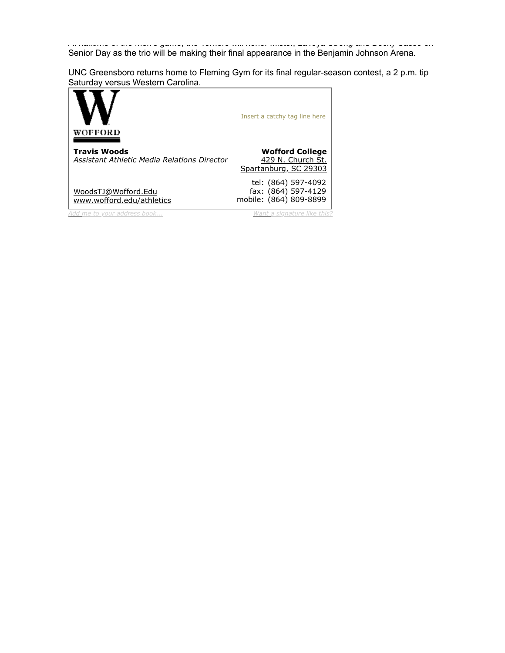At halftime of the men's game, the Terriers will honor Mister, LaToya Strong and Becky Sasso on Senior Day as the trio will be making their final appearance in the Benjamin Johnson Arena.

UNC Greensboro returns home to Fleming Gym for its final regular-season contest, a 2 p.m. tip [Saturday vers](http://www.wofford.edu/athletics)us Western Carolina.

| WOFFORD                                                            | Insert a catchy tag line here                                        |
|--------------------------------------------------------------------|----------------------------------------------------------------------|
| <b>Travis Woods</b><br>Assistant Athletic Media Relations Director | <b>Wofford College</b><br>429 N. Church St.<br>Spartanburg, SC 29303 |
| WoodsTJ@Wofford.Edu<br>www.wofford.edu/athletics                   | tel: (864) 597-4092<br>fax: (864) 597-4129<br>mobile: (864) 809-8899 |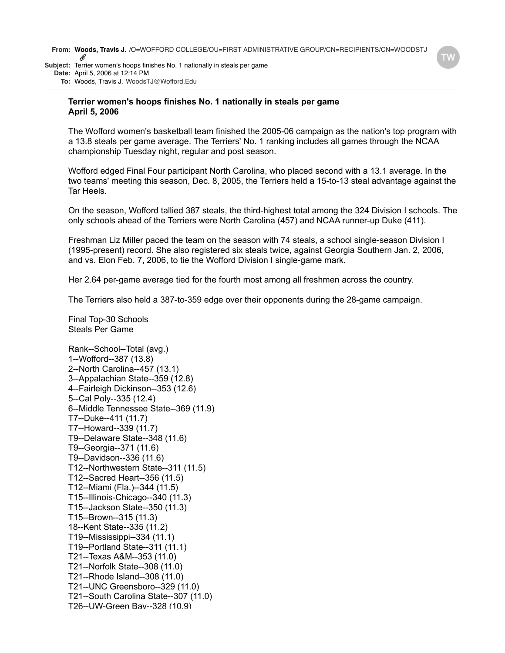**From: Woods, Travis J.** /O=WOFFORD COLLEGE/OU=FIRST ADMINISTRATIVE GROUP/CN=RECIPIENTS/CN=WOODSTJ O **Subject:** Terrier women's hoops finishes No. 1 nationally in steals per game

**Date:** April 5, 2006 at 12:14 PM

**To:** Woods, Travis J. WoodsTJ@Wofford.Edu

### **Terrier women's hoops finishes No. 1 nationally in steals per game April 5, 2006**

The Wofford women's basketball team finished the 2005-06 campaign as the nation's top program with a 13.8 steals per game average. The Terriers' No. 1 ranking includes all games through the NCAA championship Tuesday night, regular and post season.

Wofford edged Final Four participant North Carolina, who placed second with a 13.1 average. In the two teams' meeting this season, Dec. 8, 2005, the Terriers held a 15-to-13 steal advantage against the Tar Heels.

On the season, Wofford tallied 387 steals, the third-highest total among the 324 Division I schools. The only schools ahead of the Terriers were North Carolina (457) and NCAA runner-up Duke (411).

Freshman Liz Miller paced the team on the season with 74 steals, a school single-season Division I (1995-present) record. She also registered six steals twice, against Georgia Southern Jan. 2, 2006, and vs. Elon Feb. 7, 2006, to tie the Wofford Division I single-game mark.

Her 2.64 per-game average tied for the fourth most among all freshmen across the country.

The Terriers also held a 387-to-359 edge over their opponents during the 28-game campaign.

Final Top-30 Schools Steals Per Game

Rank--School--Total (avg.) 1--Wofford--387 (13.8) 2--North Carolina--457 (13.1) 3--Appalachian State--359 (12.8) 4--Fairleigh Dickinson--353 (12.6) 5--Cal Poly--335 (12.4) 6--Middle Tennessee State--369 (11.9) T7--Duke--411 (11.7) T7--Howard--339 (11.7) T9--Delaware State--348 (11.6) T9--Georgia--371 (11.6) T9--Davidson--336 (11.6) T12--Northwestern State--311 (11.5) T12--Sacred Heart--356 (11.5) T12--Miami (Fla.)--344 (11.5) T15--Illinois-Chicago--340 (11.3) T15--Jackson State--350 (11.3) T15--Brown--315 (11.3) 18--Kent State--335 (11.2) T19--Mississippi--334 (11.1) T19--Portland State--311 (11.1) T21--Texas A&M--353 (11.0) T21--Norfolk State--308 (11.0) T21--Rhode Island--308 (11.0) T21--UNC Greensboro--329 (11.0) T21--South Carolina State--307 (11.0) T26--UW-Green Bay--328 (10.9)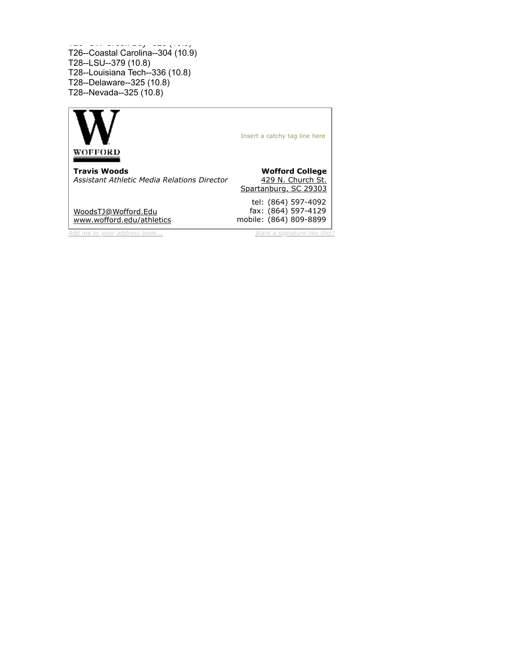T26--UW-Green Bay--328 (10.9) T26--Coastal Carolina--304 (10.9) T28--LSU--379 (10.8) T28--Louisiana Tech--336 (10.8) T28--Delaware--325 (10.8) T28--Nevada--325 (10.8)

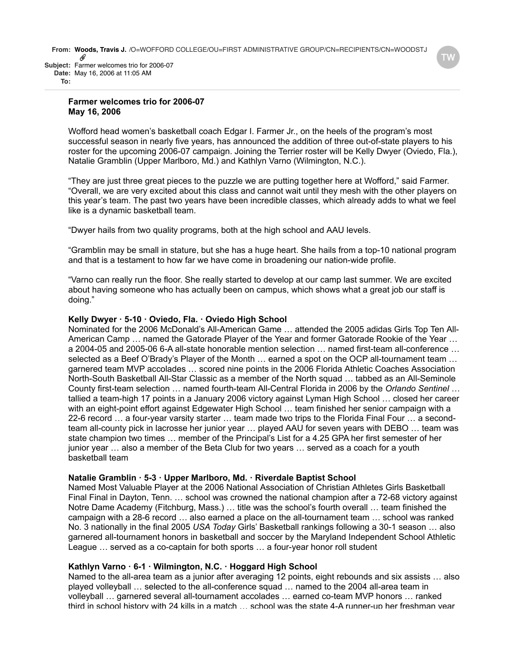**Subject:** Farmer welcomes trio for 2006-07 **Date:** May 16, 2006 at 11:05 AM **To:**

## **Farmer welcomes trio for 2006-07 May 16, 2006**

Wofford head women's basketball coach Edgar I. Farmer Jr., on the heels of the program's most successful season in nearly five years, has announced the addition of three out-of-state players to his roster for the upcoming 2006-07 campaign. Joining the Terrier roster will be Kelly Dwyer (Oviedo, Fla.), Natalie Gramblin (Upper Marlboro, Md.) and Kathlyn Varno (Wilmington, N.C.).

"They are just three great pieces to the puzzle we are putting together here at Wofford," said Farmer. "Overall, we are very excited about this class and cannot wait until they mesh with the other players on this year's team. The past two years have been incredible classes, which already adds to what we feel like is a dynamic basketball team.

"Dwyer hails from two quality programs, both at the high school and AAU levels.

"Gramblin may be small in stature, but she has a huge heart. She hails from a top-10 national program and that is a testament to how far we have come in broadening our nation-wide profile.

"Varno can really run the floor. She really started to develop at our camp last summer. We are excited about having someone who has actually been on campus, which shows what a great job our staff is doing."

# **Kelly Dwyer · 5-10 · Oviedo, Fla. · Oviedo High School**

Nominated for the 2006 McDonald's All-American Game … attended the 2005 adidas Girls Top Ten All-American Camp … named the Gatorade Player of the Year and former Gatorade Rookie of the Year … a 2004-05 and 2005-06 6-A all-state honorable mention selection … named first-team all-conference … selected as a Beef O'Brady's Player of the Month … earned a spot on the OCP all-tournament team … garnered team MVP accolades … scored nine points in the 2006 Florida Athletic Coaches Association North-South Basketball All-Star Classic as a member of the North squad … tabbed as an All-Seminole County first-team selection … named fourth-team All-Central Florida in 2006 by the *Orlando Sentinel* … tallied a team-high 17 points in a January 2006 victory against Lyman High School … closed her career with an eight-point effort against Edgewater High School ... team finished her senior campaign with a 22-6 record … a four-year varsity starter … team made two trips to the Florida Final Four … a secondteam all-county pick in lacrosse her junior year … played AAU for seven years with DEBO … team was state champion two times … member of the Principal's List for a 4.25 GPA her first semester of her junior year … also a member of the Beta Club for two years … served as a coach for a youth basketball team

### **Natalie Gramblin · 5-3 · Upper Marlboro, Md. · Riverdale Baptist School**

Named Most Valuable Player at the 2006 National Association of Christian Athletes Girls Basketball Final Final in Dayton, Tenn. … school was crowned the national champion after a 72-68 victory against Notre Dame Academy (Fitchburg, Mass.) … title was the school's fourth overall … team finished the campaign with a 28-6 record … also earned a place on the all-tournament team … school was ranked No. 3 nationally in the final 2005 *USA Today* Girls' Basketball rankings following a 30-1 season … also garnered all-tournament honors in basketball and soccer by the Maryland Independent School Athletic League … served as a co-captain for both sports … a four-year honor roll student

# **Kathlyn Varno · 6-1 · Wilmington, N.C. · Hoggard High School**

Named to the all-area team as a junior after averaging 12 points, eight rebounds and six assists … also played volleyball … selected to the all-conference squad … named to the 2004 all-area team in volleyball … garnered several all-tournament accolades … earned co-team MVP honors … ranked third in school history with 24 kills in a match … school was the state 4-A runner-up her freshman year